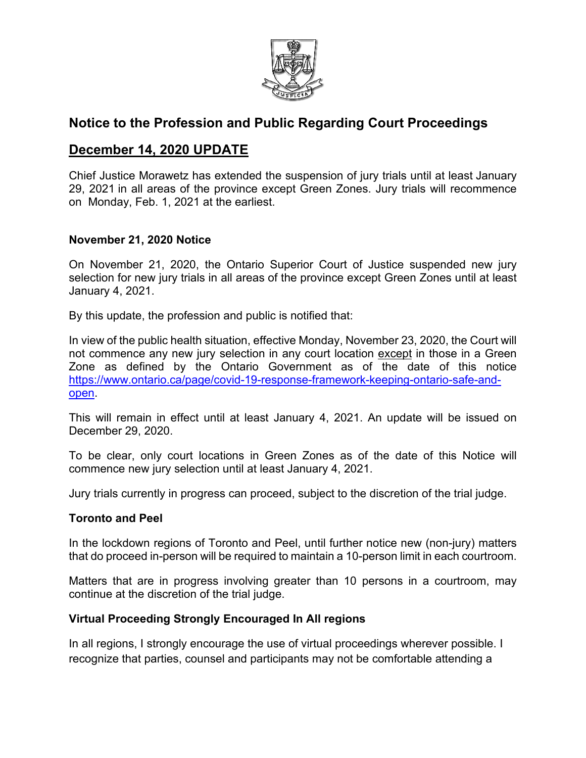

# **Notice to the Profession and Public Regarding Court Proceedings**

## **December 14, 2020 UPDATE**

Chief Justice Morawetz has extended the suspension of jury trials until at least [January](outlook-data-detector://1/)  [29, 2021](outlook-data-detector://1/) in all areas of the province except Green Zones. Jury trials will recommence on [Monday, Feb. 1, 2021](outlook-data-detector://2/) at the earliest.

### **November 21, 2020 Notice**

On November 21, 2020, the Ontario Superior Court of Justice suspended new jury selection for new jury trials in all areas of the province except Green Zones until at least January 4, 2021.

By this update, the profession and public is notified that:

In view of the public health situation, effective Monday, November 23, 2020, the Court will not commence any new jury selection in any court location except in those in a Green Zone as defined by the Ontario Government as of the date of this notice [https://www.ontario.ca/page/covid-19-response-framework-keeping-ontario-safe-and](https://www.ontario.ca/page/covid-19-response-framework-keeping-ontario-safe-and-open)[open.](https://www.ontario.ca/page/covid-19-response-framework-keeping-ontario-safe-and-open)

This will remain in effect until at least January 4, 2021. An update will be issued on December 29, 2020.

To be clear, only court locations in Green Zones as of the date of this Notice will commence new jury selection until at least January 4, 2021.

Jury trials currently in progress can proceed, subject to the discretion of the trial judge.

### **Toronto and Peel**

In the lockdown regions of Toronto and Peel, until further notice new (non-jury) matters that do proceed in-person will be required to maintain a 10-person limit in each courtroom.

Matters that are in progress involving greater than 10 persons in a courtroom, may continue at the discretion of the trial judge.

### **Virtual Proceeding Strongly Encouraged In All regions**

In all regions, I strongly encourage the use of virtual proceedings wherever possible. I recognize that parties, counsel and participants may not be comfortable attending a